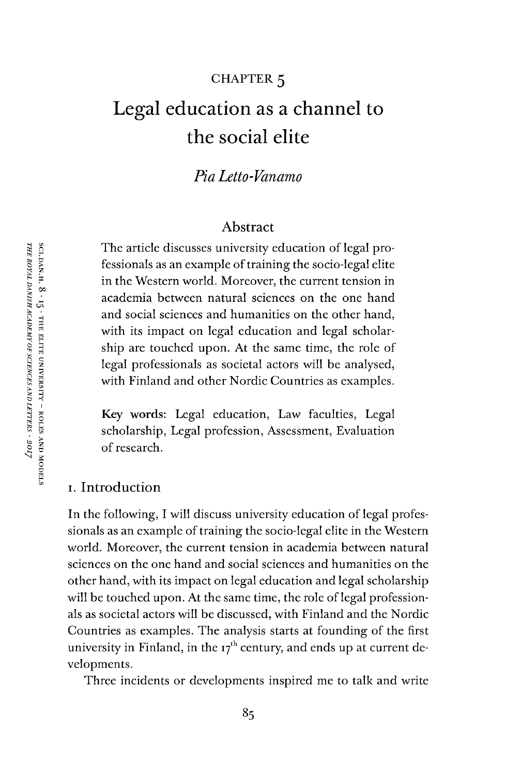### CHAPTER 5

# Legal education as a channel to the social elite

*Pia Letto-Vanamo*

#### Abstract

The article discusses university education of legal professionals as an example of training the socio-legal elite in the Western world. Moreover, the current tension in academia between natural sciences on the one hand and social sciences and humanities on the other hand, with its impact on legal education and legal scholarship are touched upon. At the same time, the role of legal professionals as societal actors will be analysed, with Finland and other Nordic Countries as examples.

**Key words:** Legal education, Law faculties, Legal scholarship, Legal profession, Assessment, Evaluation of research.

#### i. Introduction

In the following, I will discuss university education of legal professionals as an example of training the socio-legal elite in the Western world. Moreover, the current tension in academia between natural sciences on the one hand and social sciences and humanities on the other hand, with its impact on legal education and legal scholarship will be touched upon. At the same time, the role of legal professionals as societal actors will be discussed, with Finland and the Nordic Countries as examples. The analysis starts at founding of the first university in Finland, in the  $17<sup>th</sup>$  century, and ends up at current developments.

Three incidents or developments inspired me to talk and write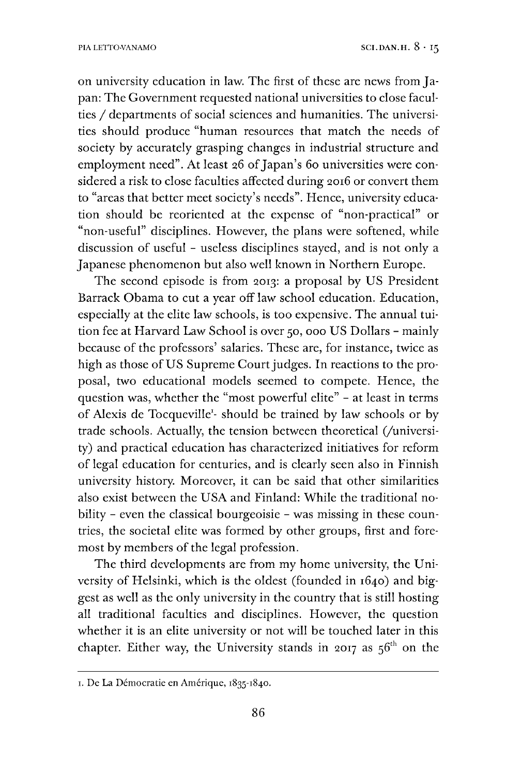on university education in law. The first of these are news from Japan: The Government requested national universities to close faculties / departments of social sciences and humanities. The universities should produce "human resources that match the needs of society by accurately grasping changes in industrial structure and employment need". At least 26 of Japan's 60 universities were considered a risk to close faculties affected during 2016 or convert them to "areas that better meet society's needs". Hence, university education should be reoriented at the expense of "non-practical" or "non-useful" disciplines. However, the plans were softened, while discussion of useful - useless disciplines stayed, and is not only a Japanese phenomenon but also well known in Northern Europe.

The second episode is from 2013: a proposal by US President Barrack Obama to cut a year off law school education. Education, especially at the elite law schools, is too expensive. The annual tuition fee at Harvard Law School is over 50, 000 US Dollars - mainly because of the professors' salaries. These are, for instance, twice as high as those of US Supreme Court judges. In reactions to the proposal, two educational models seemed to compete. Hence, the question was, whether the "most powerful elite" - at least in terms of Alexis de Tocqueville<sup>[1](#page-1-0)</sup>- should be trained by law schools or by trade schools. Actually, the tension between theoretical (/university) and practical education has characterized initiatives for reform of legal education for centuries, and is clearly seen also in Finnish university history. Moreover, it can be said that other similarities also exist between the USA and Finland: While the traditional nobility - even the classical bourgeoisie - was missing in these countries, the societal elite was formed by other groups, first and foremost by members of the legal profession.

The third developments are from my home university, the University of Helsinki, which is the oldest (founded in 1640) and biggest as well as the only university in the country that is still hosting all traditional faculties and disciplines. However, the question whether it is an elite university or not will be touched later in this chapter. Either way, the University stands in 2017 as  $56<sup>th</sup>$  on the

<span id="page-1-0"></span>i. De La Démocratie en Amérique, 1835-1840.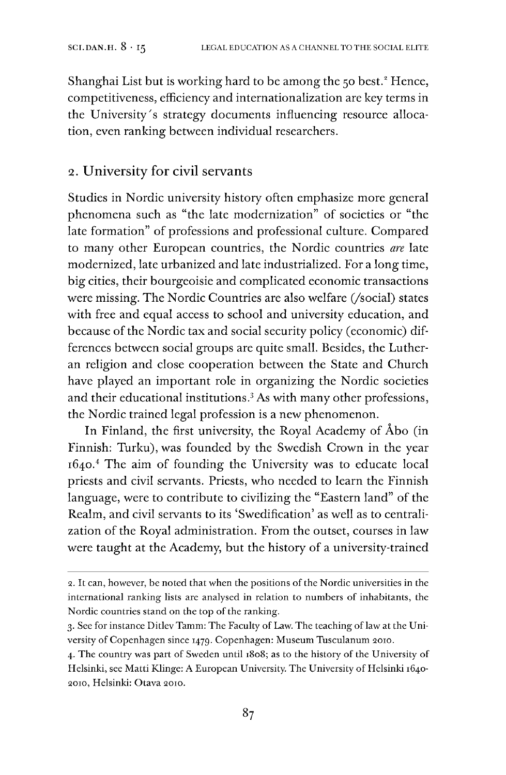Shanghai List but is working hard to be among the 50 best.<sup>2</sup> Hence, competitiveness, efficiency and internationalization are key terms in the University's strategy documents influencing resource allocation, even ranking between individual researchers.

## 2. University for civil servants

Studies in Nordic university history often emphasize more general phenomena such as "the late modernization" of societies or "the late formation" of professions and professional culture. Compared to many other European countries, the Nordic countries *are* late modernized, late urbanized and late industrialized. For a long time, big cities, their bourgeoisie and complicated economic transactions were missing. The Nordic Countries are also welfare (/social) states with free and equal access to school and university education, and because of the Nordic tax and social security policy (economic) differences between social groups are quite small. Besides, the Lutheran religion and close cooperation between the State and Church have played an important role in organizing the Nordic societies and their educational institutions.<sup>3</sup> As with many other professions, the Nordic trained legal profession is a new phenomenon.

In Finland, the first university, the Royal Academy of Åbo (in Finnish: Turku), was founded by the Swedish Crown in the year 1640.[4](#page-2-1) The aim of founding the University was to educate local priests and civil servants. Priests, who needed to learn the Finnish language, were to contribute to civilizing the "Eastern land" of the Realm, and civil servants to its 'Swedification' as well as to centralization of the Royal administration. From the outset, courses in law were taught at the Academy, but the history of a university-trained

<sup>2.</sup> It can, however, be noted that when the positions of the Nordic universities in the international ranking lists are analysed in relation to numbers of inhabitants, the Nordic countries stand on the top of the ranking.

<span id="page-2-0"></span><sup>3.</sup> See for instance Ditlev Tamm: The Faculty of Law. The teaching oflaw at the University of Copenhagen since 1479. Copenhagen: Museum Tusculanum 2010.

<span id="page-2-1"></span><sup>4.</sup> The country was part of Sweden until 1808; as to the history of the University of Helsinki, see Matti Klinge: A European University. The University of Helsinki 1640-2010, Helsinki: Otava 2010.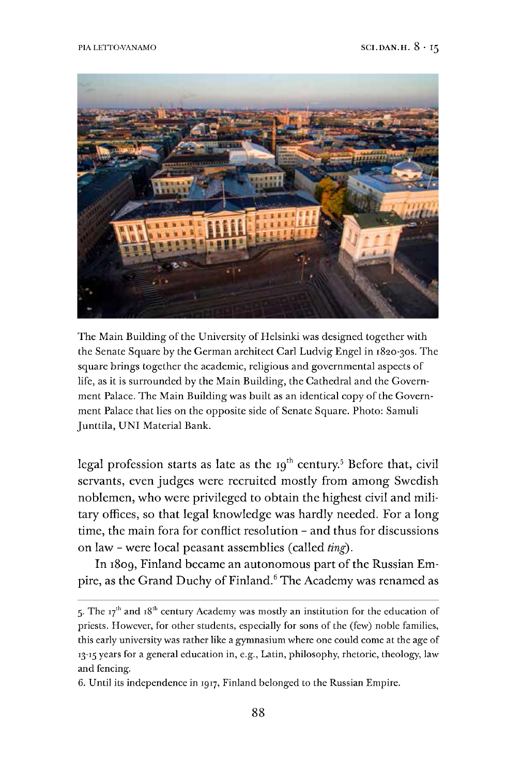

The Main Building of the University of Helsinki was designed together with the Senate Square by the German architect Carl Ludvig Engel in 1820-30S. The square brings together the academic, religious and governmental aspects of life, as it is surrounded by the Main Building, the Cathedral and the Government Palace. The Main Building was built as an identical copy of the Government Palace that lies on the opposite side of Senate Square. Photo: Samuli Junttila, UNI Material Bank.

legal profession starts as late as the 19<sup>th</sup> century.<sup>[5](#page-3-0)</sup> Before that, civil servants, even judges were recruited mostly from among Swedish noblemen, who were privileged to obtain the highest civil and military offices, so that legal knowledge was hardly needed. For a long time, the main fora for conflict resolution - and thus for discussions on law - were local peasant assemblies (called *ting).*

In 1809, Finland became an autonomous part of the Russian Em-pire, as the Grand Duchy of Finland.<sup>[6](#page-3-1)</sup> The Academy was renamed as

<span id="page-3-0"></span><sup>5.</sup> The  $17<sup>th</sup>$  and  $18<sup>th</sup>$  century Academy was mostly an institution for the education of priests. However, for other students, especially for sons of the (few) noble families, this early university was rather like a gymnasium where one could come at the age of 13-15 years for a general education in, e.g., Latin, philosophy, rhetoric, theology, law and fencing.

<span id="page-3-1"></span><sup>6.</sup> Until its independence in 1917, Finland belonged to the Russian Empire.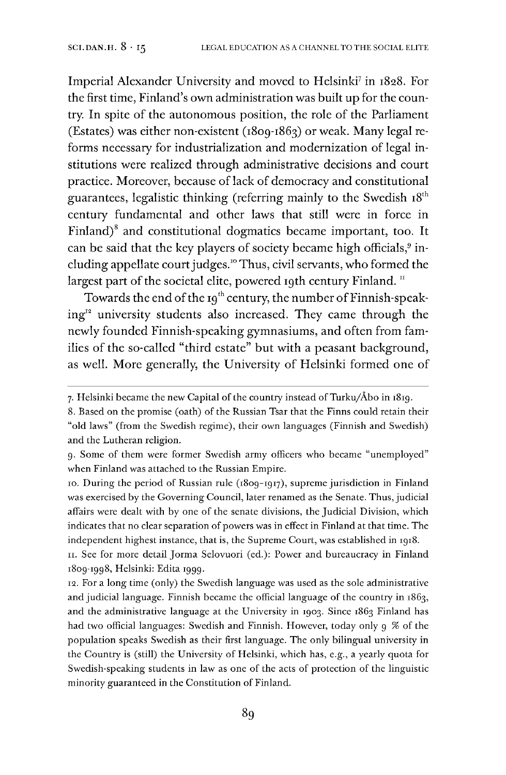Imperial Alexander University and moved to Helsinki<sup>[7](#page-4-0)</sup> in 1828. For the first time, Finland's own administration was built up for the country. In spite of the autonomous position, the role of the Parliament (Estates) was either non-existent (1809-1863) or weak. Many legal reforms necessary for industrialization and modernization of legal institutions were realized through administrative decisions and court practice. Moreover, because of lack of democracy and constitutional guarantees, legalistic thinking (referring mainly to the Swedish  $18<sup>th</sup>$ century fundamental and other laws that still were in force in Finland)<sup>[8](#page-4-1)</sup> and constitutional dogmatics became important, too. It can be said that the key players of society became high officials,<sup>9</sup> including appellate court judges.<sup>10</sup> Thus, civil servants, who formed the largest part of the societal elite, powered 19th century Finland.<sup>[11](#page-4-2)</sup>

Towards the end of the  $19<sup>th</sup>$  century, the number of Finnish-speaking" university students also increased. They came through the newly founded Finnish-speaking gymnasiums, and often from families of the so-called "third estate" but with a peasant background, as well. More generally, the University of Helsinki formed one of

10. During the period of Russian rule (1809-1917), supreme jurisdiction in Finland was exercised by the Governing Council, later renamed as the Senate. Thus, judicial affairs were dealt with by one of the senate divisions, the Judicial Division, which indicates that no clear separation of powers was in effect in Finland at that time. The independent highest instance, that is, the Supreme Court, was established in 1918.

<span id="page-4-2"></span>11. See for more detail Jorma Selovuori (ed.): Power and bureaucracy in Finland 1809-1998, Helsinki: Edita 1999.

12. For a long time (only) the Swedish language was used as the sole administrative and judicial language. Finnish became the official language of the country in 1863, and the administrative language at the University in 1903. Since 1863 Finland has had two official languages: Swedish and Finnish. However, today only 9 % of the population speaks Swedish as their first language. The only bilingual university in the Country is (still) the University of Helsinki, which has, e.g., a yearly quota for Swedish-speaking students in law as one of the acts of protection of the linguistic minority guaranteed in the Constitution of Finland.

<span id="page-4-0"></span><sup>7.</sup> Helsinki became the new Capital of the country instead of Turku/Åbo in  $1819$ .

<span id="page-4-1"></span><sup>8.</sup> Based on the promise (oath) of the Russian Tsar that the Finns could retain their "old laws" (from the Swedish regime), their own languages (Finnish and Swedish) and the Lutheran religion.

g. Some of them were former Swedish army officers who became "unemployed" when Finland was attached to the Russian Empire.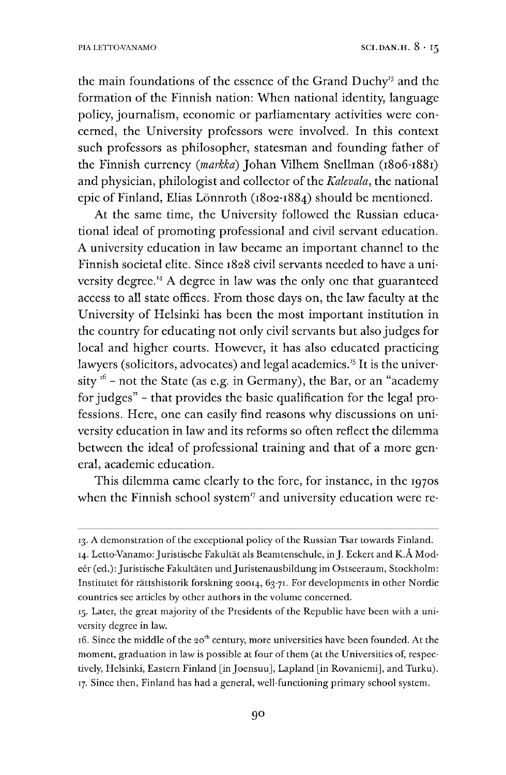the main foundations of the essence of the Grand Duchy<sup>[13](#page-5-0)</sup> and the formation of the Finnish nation: When national identity, language policy, journalism, economic or parliamentary activities were concerned, the University professors were involved. In this context such professors as philosopher, statesman and founding father of the Finnish currency *(markka)* Johan Vilhem Snellman (1806-1881) and physician, philologist and collector of the *Kalevala*, the national epic of Finland, Elias Lönnroth (1802-1884) should be mentioned.

At the same time, the University followed the Russian educational ideal of promoting professional and civil servant education. A university education in law became an important channel to the Finnish societal elite. Since 1828 civil servants needed to have a uni-versity degree.<sup>[14](#page-5-1)</sup> A degree in law was the only one that guaranteed access to all state offices. From those days on, the law faculty at the University of Helsinki has been the most important institution in the country for educating not only civil servants but also judges for local and higher courts. However, it has also educated practicing lawyers (solicitors, advocates) and legal academics.<sup>[15](#page-5-2)</sup> It is the university  $16$  - not the State (as e.g. in Germany), the Bar, or an "academy for judges" - that provides the basic qualification for the legal professions. Here, one can easily find reasons why discussions on university education in law and its reforms so often reflect the dilemma between the ideal of professional training and that of a more general, academic education.

This dilemma came clearly to the fore, for instance, in the 1970s when the Finnish school system $17$  and university education were re-

<span id="page-5-1"></span><span id="page-5-0"></span><sup>13.</sup> A demonstration ofthe exceptional policy ofthe Russian Tsar towards Finland. 14. Letto-Vanamo: Juristische Fakultät als Beamtenschule, in J. Eckert and K.Å Modeér (ed.): Juristische Fakultäten und Juristenausbildung im Ostseeraum, Stockholm: Institutet för rättshistorik forskning 20014, 63-71. For developments in other Nordic countries see articles by other authors in the volume concerned.

<span id="page-5-2"></span><sup>15.</sup> Later, the great majority of the Presidents of the Republic have been with a university degree in law.

<span id="page-5-4"></span><span id="page-5-3"></span><sup>16.</sup> Since the middle of the 20<sup>th</sup> century, more universities have been founded. At the moment, graduation in law is possible at four of them (at the Universities of, respectively, Helsinki, Eastern Finland [in Joensuu], Lapland [in Rovaniemi], and Turku). 17. Since then, Finland has had a general, well-functioning primary school system.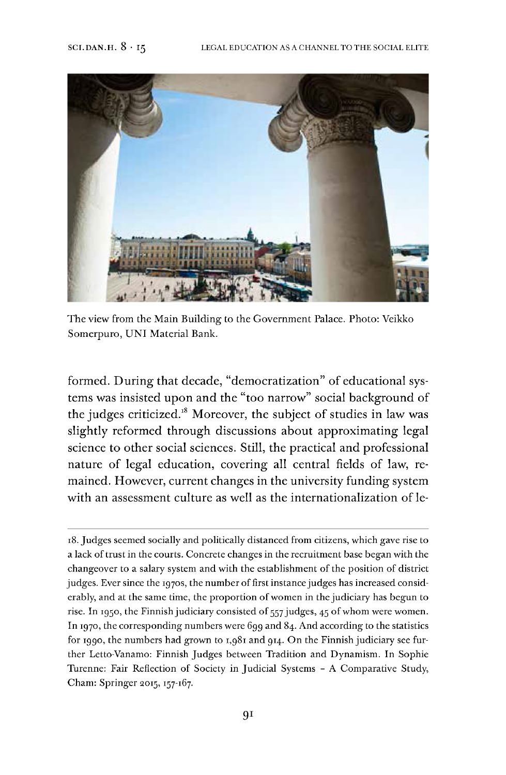

The view from the Main Building to the Government Palace. Photo: Veikko Somerpuro, UNI Material Bank.

formed. During that decade, "democratization" of educational systems was insisted upon and the "too narrow" social background of the judges criticized.<sup>[18](#page-6-0)</sup> Moreover, the subject of studies in law was slightly reformed through discussions about approximating legal science to other social sciences. Still, the practical and professional nature of legal education, covering all central fields of law, remained. However, current changes in the university funding system with an assessment culture as well as the internationalization of le-

<span id="page-6-0"></span>18.Judges seemed socially and politically distanced from citizens, which gave rise to a lack of trust in the courts. Concrete changes in the recruitment base began with the changeover to a salary system and with the establishment of the position of district judges. Ever since the 1970s, the number of first instance judges has increased considerably, and at the same time, the proportion of women in the judiciary has begun to rise. In 1950, the Finnish judiciary consisted of 557 judges, 45 of whom were women. In 1970, the corresponding numbers were 699 and 84. And according to the statistics for 1990, the numbers had grown to 1,981 and 914. On the Finnish judiciary see further Letto-Vanamo: Finnish Judges between Tradition and Dynamism. In Sophie Turenne: Fair Reflection of Society in Judicial Systems - A Comparative Study, Cham: Springer 2015,157-167.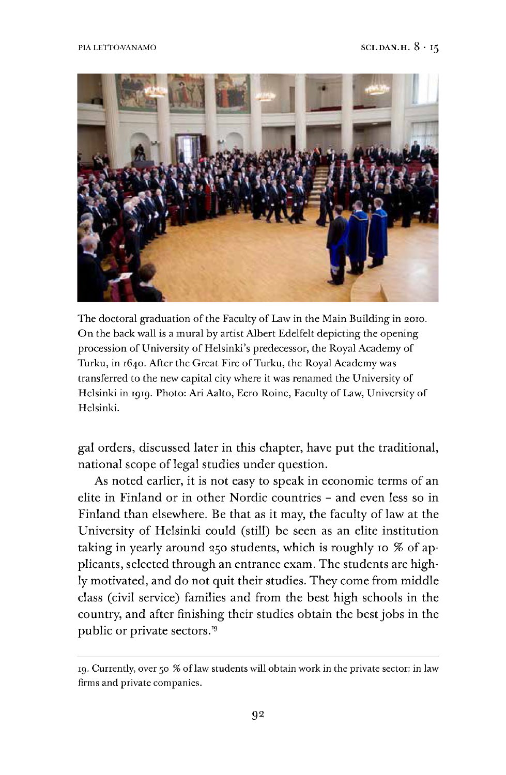

The doctoral graduation of the Faculty of Law in the Main Building in 2010. On the back wall is a mural by artist Albert Edelfelt depicting the opening procession of University of Helsinki's predecessor, the Royal Academy of Turku, in 1640. After the Great Fire of Turku, the Royal Academy was transferred to the new capital city where it was renamed the University of Helsinki in 1919. Photo: Ari Aalto, Eero Roine, Faculty of Law, University of Helsinki.

gal orders, discussed later in this chapter, have put the traditional, national scope of legal studies under question.

As noted earlier, it is not easy to speak in economic terms of an elite in Finland or in other Nordic countries - and even less so in Finland than elsewhere. Be that as it may, the faculty of law at the University of Helsinki could (still) be seen as an elite institution taking in yearly around 250 students, which is roughly 10 % of applicants, selected through an entrance exam. The students are highly motivated, and do not quit their studies. They come from middle class (civil service) families and from the best high schools in the country, and after finishing their studies obtain the bestjobs in the public or private sectors.[19](#page-7-0)

<span id="page-7-0"></span><sup>19.</sup>Currently, over 50 % oflaw students will obtain work in the private sector: in law firms and private companies.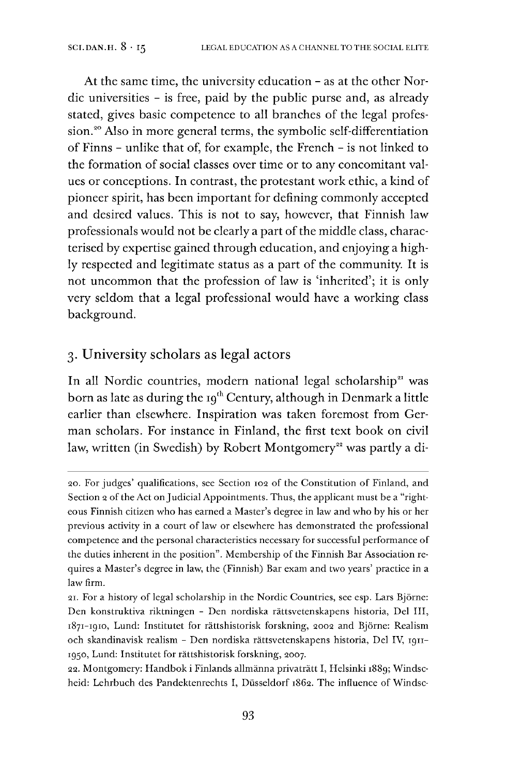At the same time, the university education - as at the other Nordic universities - is free, paid by the public purse and, as already stated, gives basic competence to all branches of the legal profession.<sup>20</sup> Also in more general terms, the symbolic self-differentiation of Finns - unlike that of, for example, the French - is not linked to the formation of social classes over time or to any concomitant values or conceptions. In contrast, the protestant work ethic, a kind of pioneer spirit, has been important for defining commonly accepted and desired values. This is not to say, however, that Finnish law professionals would not be clearly a part of the middle class, characterised by expertise gained through education, and enjoying a highly respected and legitimate status as a part of the community. It is not uncommon that the profession of law is 'inherited'; it is only very seldom that a legal professional would have a working class background.

# 3. University scholars as legal actors

In all Nordic countries, modern national legal scholarship<sup>21</sup> was born as late as during the 19<sup>th</sup> Century, although in Denmark a little earlier than elsewhere. Inspiration was taken foremost from German scholars. For instance in Finland, the first text book on civil law, written (in Swedish) by Robert Montgomery<sup>22</sup> was partly a di-

22. Montgomery: Handbok i Finlands allmänna privaträtt I, Helsinki 1889; Windscheid: Lehrbuch des Pandektenrechts I, Düsseldorf 1862. The influence of Windsc-

<sup>20.</sup> For judges' qualifications, see Section 102 of the Constitution of Finland, and Section 2 of the Act on Judicial Appointments. Thus, the applicant must be a "righteous Finnish citizen who has earned a Master's degree in law and who by his or her previous activity in a court of law or elsewhere has demonstrated the professional competence and the personal characteristics necessary for successful performance of the duties inherent in the position". Membership of the Finnish Bar Association requires a Master's degree in law, the (Finnish) Bar exam and two years' practice in a law firm.

<sup>21.</sup> For a history of legal scholarship in the Nordic Countries, see esp. Lars Björne: Den konstruktiva riktningen - Den nordiska rättsvetenskapens historia, Del III, 1871-1910, Lund: Institutet for rättshistorisk forskning, 2002 and Björne: Realism och skandinavisk realism - Den nordiska rättsvetenskapens historia, Del IV, 1911- 1950, Lund: Institutet for rättshistorisk forskning, 2007.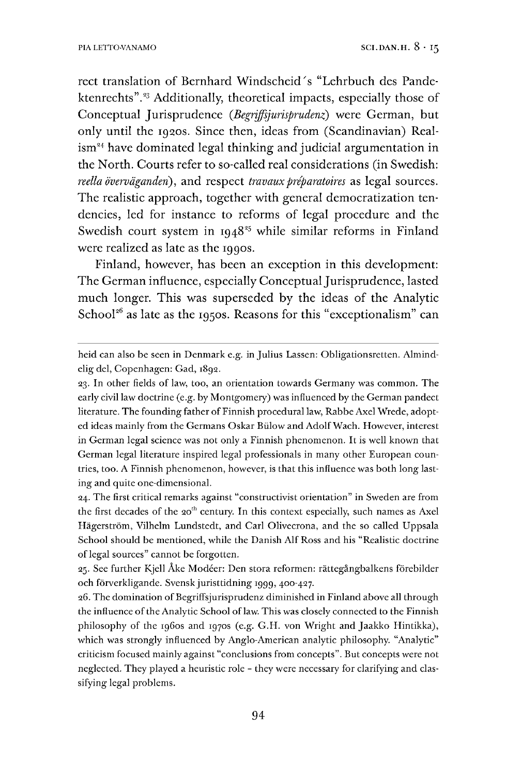rect translation of Bernhard Windscheid's "Lehrbuch des Pandektenrechts".<sup>23</sup> Additionally, theoretical impacts, especially those of Conceptual Jurisprudence *(ßegriffsjurisprudenz)* were German, but only until the 1920s. Since then, ideas from (Scandinavian) Real- $\lim^{24}$  have dominated legal thinking and judicial argumentation in the North. Courts refer to so-called real considerations (in Swedish: *reella överväganderi),* and respect *travauxpréparatoires* as legal sources. The realistic approach, together with general democratization tendencies, led for instance to reforms of legal procedure and the Swedish court system in  $1948^{25}$  while similar reforms in Finland were realized as late as the 1990s.

Finland, however, has been an exception in this development: The German influence, especially Conceptual Jurisprudence, lasted much longer. This was superseded by the ideas of the Analytic School<sup>26</sup> as late as the 1950s. Reasons for this "exceptionalism" can

24. The first critical remarks against "constructivist orientation" in Sweden are from the first decades of the  $20<sup>th</sup>$  century. In this context especially, such names as Axel Hägerström, Vilhelm Lundstedt, and Carl Olivecrona, and the so called Uppsala School should be mentioned, while the Danish Alf Ross and his "Realistic doctrine of legal sources" cannot be forgotten.

25. See further Kjell Åke Modéer: Den stora reformen: rättegängbalkens förebilder och förverkligande. Svensk juristtidning 1999, 400-427.

26. The domination of Begriffsjurisprudenz diminished in Finland above all through the influence of the Analytic School of law. This was closely connected to the Finnish philosophy of the 1960s and 1970s (e.g. G.H. von Wright and Jaakko Hintikka), which was strongly influenced by Anglo-American analytic philosophy. "Analytic" criticism focused mainly against "conclusions from concepts". But concepts were not neglected. They played a heuristic role - they were necessary for clarifying and classifying legal problems.

heid can also be seen in Denmark e.g. in Julius Lassen: Obligationsretten. Almindelig del, Copenhagen: Gad, 1892.

<sup>23.</sup> In other fields of law, too, an orientation towards Germany was common. The early civil law doctrine (e.g. by Montgomery) was influenced by the German pandect literature. The founding father of Finnish procedural law, Rabbe Axel Wrede, adopted ideas mainly from the Germans Oskar Bülow and AdolfWach. However, interest in German legal science was not only a Finnish phenomenon. It is well known that German legal literature inspired legal professionals in many other European countries, too. A Finnish phenomenon, however, is that this influence was both long lasting and quite one-dimensional.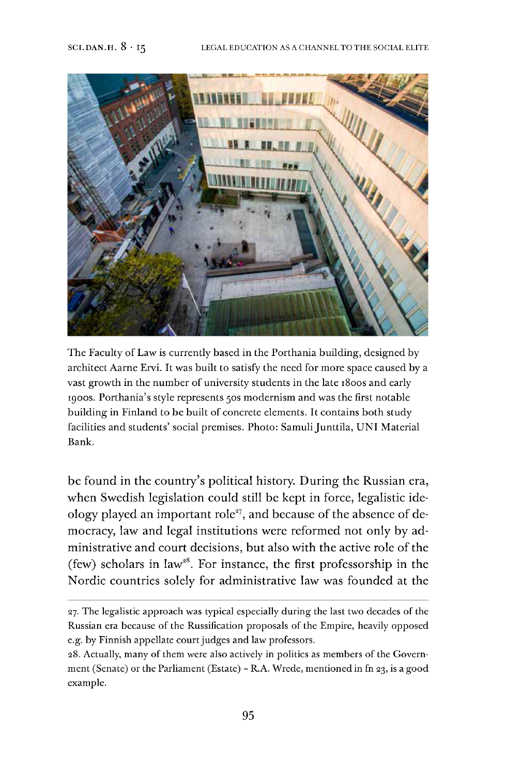

The Faculty of Law is currently based in the Porthania building, designed by architect Aarne Ervi. It was built to satisfy the need for more space caused by a vast growth in the number of university students in the late 1800s and early 1900s. Porthania's style represents 50s modernism and was the first notable building in Finland to be built of concrete elements. It contains both study facilities and students' social premises. Photo: Samuli Junttila, UNI Material Bank.

be found in the country's political history. During the Russian era, when Swedish legislation could still be kept in force, legalistic ideology played an important role<sup>27</sup>, and because of the absence of democracy, law and legal institutions were reformed not only by administrative and court decisions, but also with the active role of the (few) scholars in law<sup>28</sup>. For instance, the first professorship in the Nordic countries solely for administrative law was founded at the

<sup>27.</sup> The legalistic approach was typical especially during the last two decades of the Russian era because of the Russification proposals of the Empire, heavily opposed e.g. by Finnish appellate court judges and law professors.

<sup>28.</sup> Actually, many of them were also actively in politics as members of the Government (Senate) or the Parliament (Estate) - R.A. Wrede, mentioned in fn 23, is a good example.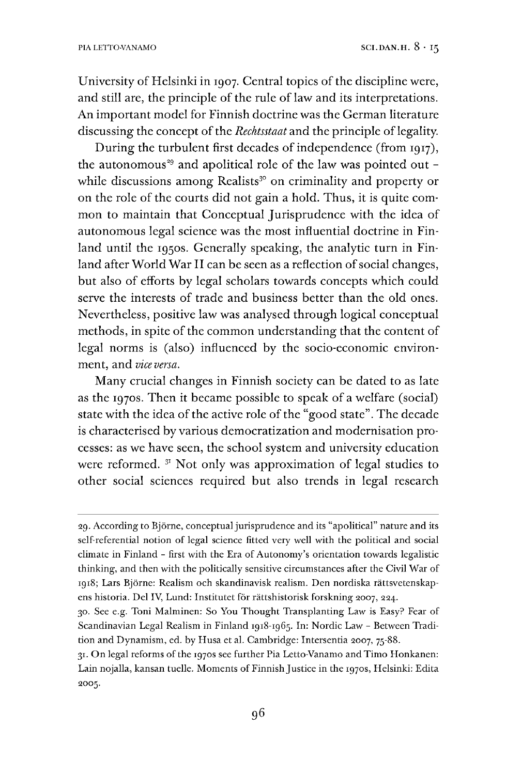University of Helsinki in 1907. Central topics of the discipline were, and still are, the principle of the rule of law and its interpretations. An important model for Finnish doctrine was the German literature discussing the concept of the *Rechtsstaat* and the principle of legality.

During the turbulent first decades of independence (from 1917), the autonomous<sup>29</sup> and apolitical role of the law was pointed out while discussions among Realists<sup>30</sup> on criminality and property or on the role of the courts did not gain a hold. Thus, it is quite common to maintain that Conceptual Jurisprudence with the idea of autonomous legal science was the most influential doctrine in Finland until the 1950s. Generally speaking, the analytic turn in Finland after World War II can be seen as a reflection of social changes, but also of efforts by legal scholars towards concepts which could serve the interests of trade and business better than the old ones. Nevertheless, positive law was analysed through logical conceptual methods, in spite of the common understanding that the content of legal norms is (also) influenced by the socio-economic environment. and *vice* versa.

Many crucial changes in Finnish society can be dated to as late as the 1970s. Then it became possible to speak of a welfare (social) state with the idea of the active role of the "good state". The decade is characterised by various democratization and modernisation processes: as we have seen, the school system and university education were reformed.  $31$  $31$  Not only was approximation of legal studies to other social sciences required but also trends in legal research

<span id="page-11-0"></span>31. On legal reforms of the 1970s see further Pia Letto-Vanamo and Timo Honkanen: Lain nojalla, kansan tuelle. Moments of Finnish Justice in the 1970s, Helsinki: Edita 2005.

<sup>29.</sup> According to Björne, conceptual jurisprudence and its "apolitical" nature and its self-referential notion of legal science fitted very well with the political and social climate in Finland - first with the Era of Autonomy's orientation towards legalistic thinking, and then with the politically sensitive circumstances after the Civil War of 1918; Lars Björne: Realism och skandinavisk realism. Den nordiska rättsvetenskapens historia. Del IV, Lund: Institutet för rättshistorisk forskning 2007, 224.

<sup>30.</sup> See e.g. Toni Malminen: So You Thought Transplanting Law is Easy? Fear of Scandinavian Legal Realism in Finland 1918-1965. In: Nordic Law - Between Tradition and Dynamism, ed. by Husa et al. Cambridge: Intersentia 2007, 75-88.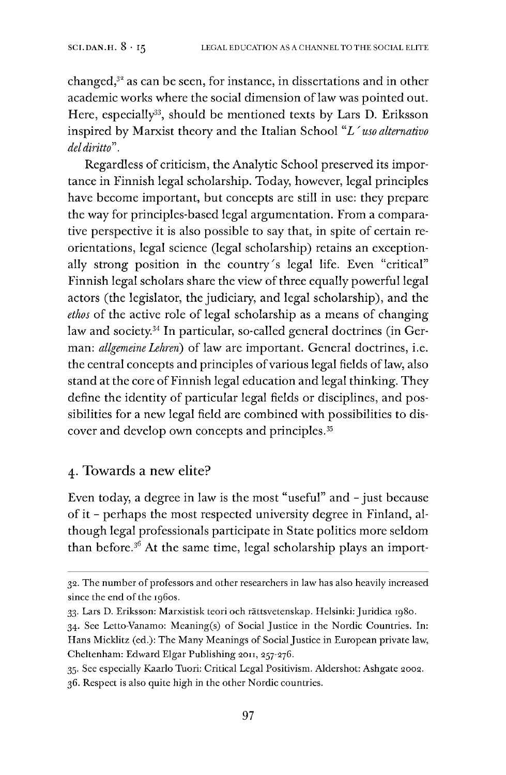changed, $3<sup>8</sup>$  as can be seen, for instance, in dissertations and in other academic works where the social dimension of law was pointed out. Here, especially<sup>33</sup>, should be mentioned texts by Lars D. Eriksson inspired by Marxist theory and the Italian School *"L' uso alternativo deldiritto".*

Regardless of criticism, the Analytic School preserved its importance in Finnish legal scholarship. Today, however, legal principles have become important, but concepts are still in use: they prepare the way for principles-based legal argumentation. From a comparative perspective it is also possible to say that, in spite of certain reorientations, legal science (legal scholarship) retains an exceptionally strong position in the country's legal life. Even "critical" Finnish legal scholars share the view of three equally powerful legal actors (the legislator, the judiciary, and legal scholarship), and the *ethos* of the active role of legal scholarship as a means of changing law and society.[34](#page-12-1) In particular, so-called general doctrines (in German: *allgemeine Lehren)* of law are important. General doctrines, i.e. the central concepts and principles of various legal fields of law, also stand at the core of Finnish legal education and legal thinking. They define the identity of particular legal fields or disciplines, and possibilities for a new legal field are combined with possibilities to discover and develop own concepts and principles.[35](#page-12-2)

# 4. Towards a new elite?

Even today, a degree in law is the most "useful" and - just because of it - perhaps the most respected university degree in Finland, although legal professionals participate in State politics more seldom than before.[36](#page-12-3) At the same time, legal scholarship plays an import-

<span id="page-12-3"></span><span id="page-12-2"></span>35. See especially Kaarlo Tuori: Critical Legal Positivism. Aidershot: Ashgate 2002. 36. Respect is also quite high in the other Nordic countries.

<sup>32.</sup> The number of professors and other researchers in law has also heavily increased since the end of the 1960s.

<span id="page-12-0"></span><sup>33.</sup> Lars D. Eriksson: Marxistisk teori och rättsvetenskap. Helsinki: Juridica 1980.

<span id="page-12-1"></span><sup>34.</sup> See Letto-Vanamo: Meaning(s) of Social Justice in the Nordic Countries. In: Hans Micklitz (ed.): The Many Meanings of Social Justice in European private law, Cheltenham: Edward Elgar Publishing 2011, 257-276.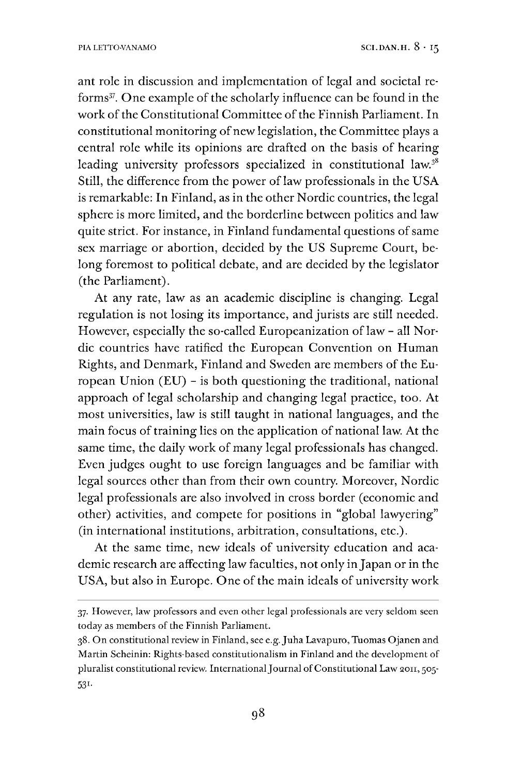ant role in discussion and implementation of legal and societal re-forms<sup>[37](#page-13-0)</sup>. One example of the scholarly influence can be found in the work of the Constitutional Committee of the Finnish Parliament. In constitutional monitoring of new legislation, the Committee plays a central role while its opinions are drafted on the basis of hearing leading university professors specialized in constitutional law.<sup>[38](#page-13-1)</sup> Still, the difference from the power of law professionals in the USA is remarkable: In Finland, as in the other Nordic countries, the legal sphere is more limited, and the borderline between politics and law quite strict. For instance, in Finland fundamental questions of same sex marriage or abortion, decided by the US Supreme Court, belong foremost to political debate, and are decided by the legislator (the Parliament).

At any rate, law as an academic discipline is changing. Legal regulation is not losing its importance, and jurists are still needed. However, especially the so-called Europeanization of law - all Nordic countries have ratified the European Convention on Human Rights, and Denmark, Finland and Sweden are members of the European Union (EU) - is both questioning the traditional, national approach of legal scholarship and changing legal practice, too. At most universities, law is still taught in national languages, and the main focus of training lies on the application of national law. At the same time, the daily work of many legal professionals has changed. Even judges ought to use foreign languages and be familiar with legal sources other than from their own country. Moreover, Nordic legal professionals are also involved in cross border (economic and other) activities, and compete for positions in "global lawyering" (in international institutions, arbitration, consultations, etc.).

At the same time, new ideals of university education and academic research are affecting law faculties, not only in Japan or in the USA, but also in Europe. One of the main ideals of university work

<span id="page-13-0"></span><sup>37.</sup> However, law professors and even other legal professionals are very seldom seen today as members of the Finnish Parliament.

<span id="page-13-1"></span><sup>38.</sup> On constitutional review in Finland, see e.g.Juha Lavapuro, Tuomas Ojanen and Martin Scheinin: Rights-based constitutionalism in Finland and the development of pluralist constitutional review. International Journal of Constitutional Law 2011, 505-531-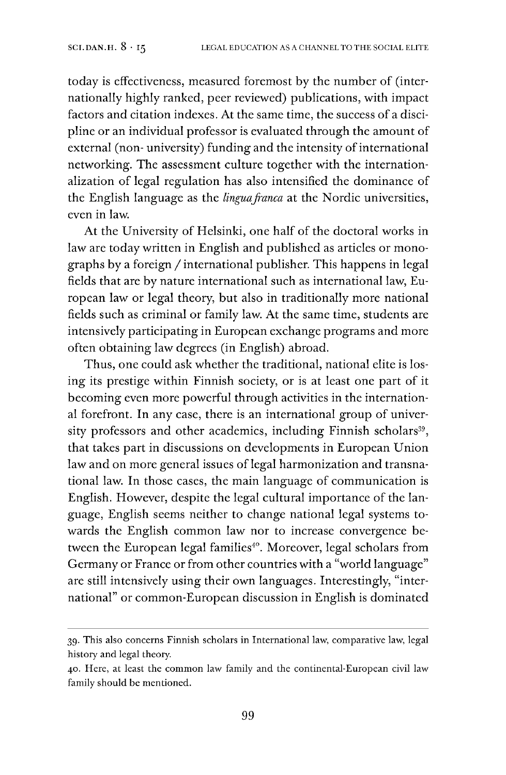today is effectiveness, measured foremost by the number of (internationally highly ranked, peer reviewed) publications, with impact factors and citation indexes. At the same time, the success of a discipline or an individual professor is evaluated through the amount of external (non- university) funding and the intensity of international networking. The assessment culture together with the internationalization of legal regulation has also intensified the dominance of the English language as the *linguafranca* at the Nordic universities, even in law.

At the University of Helsinki, one half of the doctoral works in law are today written in English and published as articles or monographs by <sup>a</sup> foreign /international publisher. This happens in legal fields that are by nature international such as international law, European law or legal theory, but also in traditionally more national fields such as criminal or family law. At the same time, students are intensively participating in European exchange programs and more often obtaining law degrees (in English) abroad.

Thus, one could ask whether the traditional, national elite is losing its prestige within Finnish society, or is at least one part of it becoming even more powerful through activities in the international forefront. In any case, there is an international group of univer-sity professors and other academics, including Finnish scholars<sup>[39](#page-14-0)</sup>, that takes part in discussions on developments in European Union law and on more general issues of legal harmonization and transnational law. In those cases, the main language of communication is English. However, despite the legal cultural importance of the language, English seems neither to change national legal systems towards the English common law nor to increase convergence be-tween the European legal families<sup>[40](#page-14-1)</sup>. Moreover, legal scholars from Germany or France or from other countries with a "world language" are still intensively using their own languages. Interestingly, "international" or common-European discussion in English is dominated

<span id="page-14-0"></span><sup>39.</sup> This also concerns Finnish scholars in International law, comparative law, legal history and legal theory.

<span id="page-14-1"></span><sup>40.</sup> Here, at least the common law family and the continental-European civil law family should be mentioned.